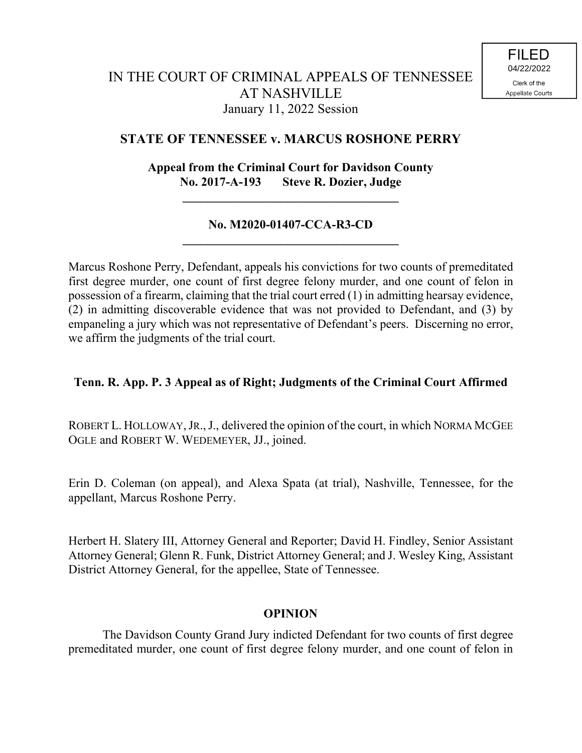# **STATE OF TENNESSEE v. MARCUS ROSHONE PERRY**

**Appeal from the Criminal Court for Davidson County No. 2017-A-193 Steve R. Dozier, Judge**

**\_\_\_\_\_\_\_\_\_\_\_\_\_\_\_\_\_\_\_\_\_\_\_\_\_\_\_\_\_\_\_\_\_\_\_**

# **No. M2020-01407-CCA-R3-CD \_\_\_\_\_\_\_\_\_\_\_\_\_\_\_\_\_\_\_\_\_\_\_\_\_\_\_\_\_\_\_\_\_\_\_**

Marcus Roshone Perry, Defendant, appeals his convictions for two counts of premeditated first degree murder, one count of first degree felony murder, and one count of felon in possession of a firearm, claiming that the trial court erred (1) in admitting hearsay evidence, (2) in admitting discoverable evidence that was not provided to Defendant, and (3) by empaneling a jury which was not representative of Defendant's peers. Discerning no error, we affirm the judgments of the trial court.

# **Tenn. R. App. P. 3 Appeal as of Right; Judgments of the Criminal Court Affirmed**

ROBERT L. HOLLOWAY, JR., J., delivered the opinion of the court, in which NORMA MCGEE OGLE and ROBERT W. WEDEMEYER, JJ., joined.

Erin D. Coleman (on appeal), and Alexa Spata (at trial), Nashville, Tennessee, for the appellant, Marcus Roshone Perry.

Herbert H. Slatery III, Attorney General and Reporter; David H. Findley, Senior Assistant Attorney General; Glenn R. Funk, District Attorney General; and J. Wesley King, Assistant District Attorney General, for the appellee, State of Tennessee.

## **OPINION**

The Davidson County Grand Jury indicted Defendant for two counts of first degree premeditated murder, one count of first degree felony murder, and one count of felon in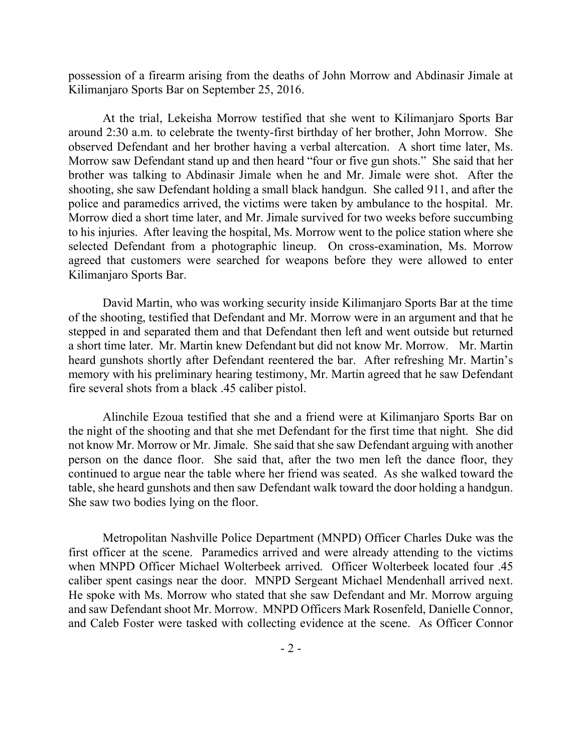possession of a firearm arising from the deaths of John Morrow and Abdinasir Jimale at Kilimanjaro Sports Bar on September 25, 2016.

At the trial, Lekeisha Morrow testified that she went to Kilimanjaro Sports Bar around 2:30 a.m. to celebrate the twenty-first birthday of her brother, John Morrow. She observed Defendant and her brother having a verbal altercation. A short time later, Ms. Morrow saw Defendant stand up and then heard "four or five gun shots." She said that her brother was talking to Abdinasir Jimale when he and Mr. Jimale were shot. After the shooting, she saw Defendant holding a small black handgun. She called 911, and after the police and paramedics arrived, the victims were taken by ambulance to the hospital. Mr. Morrow died a short time later, and Mr. Jimale survived for two weeks before succumbing to his injuries. After leaving the hospital, Ms. Morrow went to the police station where she selected Defendant from a photographic lineup. On cross-examination, Ms. Morrow agreed that customers were searched for weapons before they were allowed to enter Kilimanjaro Sports Bar.

David Martin, who was working security inside Kilimanjaro Sports Bar at the time of the shooting, testified that Defendant and Mr. Morrow were in an argument and that he stepped in and separated them and that Defendant then left and went outside but returned a short time later. Mr. Martin knew Defendant but did not know Mr. Morrow. Mr. Martin heard gunshots shortly after Defendant reentered the bar. After refreshing Mr. Martin's memory with his preliminary hearing testimony, Mr. Martin agreed that he saw Defendant fire several shots from a black .45 caliber pistol.

Alinchile Ezoua testified that she and a friend were at Kilimanjaro Sports Bar on the night of the shooting and that she met Defendant for the first time that night. She did not know Mr. Morrow or Mr. Jimale. She said that she saw Defendant arguing with another person on the dance floor. She said that, after the two men left the dance floor, they continued to argue near the table where her friend was seated. As she walked toward the table, she heard gunshots and then saw Defendant walk toward the door holding a handgun. She saw two bodies lying on the floor.

Metropolitan Nashville Police Department (MNPD) Officer Charles Duke was the first officer at the scene. Paramedics arrived and were already attending to the victims when MNPD Officer Michael Wolterbeek arrived. Officer Wolterbeek located four .45 caliber spent casings near the door. MNPD Sergeant Michael Mendenhall arrived next. He spoke with Ms. Morrow who stated that she saw Defendant and Mr. Morrow arguing and saw Defendant shoot Mr. Morrow. MNPD Officers Mark Rosenfeld, Danielle Connor, and Caleb Foster were tasked with collecting evidence at the scene. As Officer Connor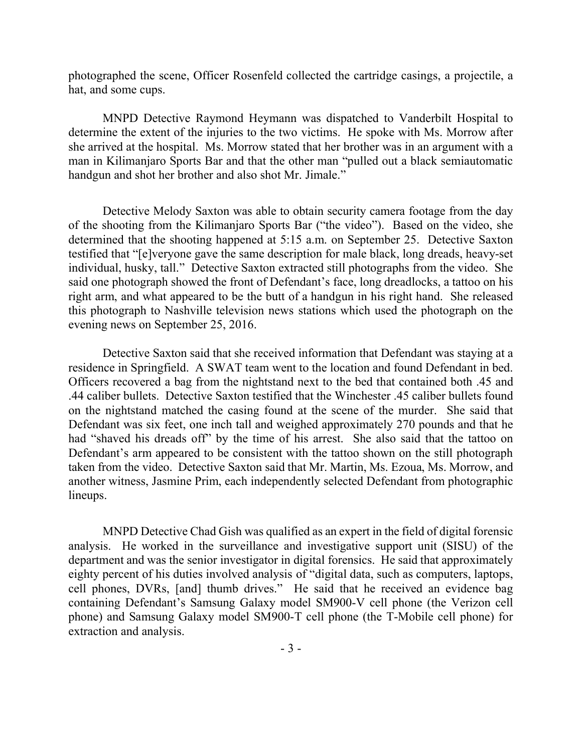photographed the scene, Officer Rosenfeld collected the cartridge casings, a projectile, a hat, and some cups.

MNPD Detective Raymond Heymann was dispatched to Vanderbilt Hospital to determine the extent of the injuries to the two victims. He spoke with Ms. Morrow after she arrived at the hospital. Ms. Morrow stated that her brother was in an argument with a man in Kilimanjaro Sports Bar and that the other man "pulled out a black semiautomatic handgun and shot her brother and also shot Mr. Jimale."

Detective Melody Saxton was able to obtain security camera footage from the day of the shooting from the Kilimanjaro Sports Bar ("the video"). Based on the video, she determined that the shooting happened at 5:15 a.m. on September 25. Detective Saxton testified that "[e]veryone gave the same description for male black, long dreads, heavy-set individual, husky, tall." Detective Saxton extracted still photographs from the video. She said one photograph showed the front of Defendant's face, long dreadlocks, a tattoo on his right arm, and what appeared to be the butt of a handgun in his right hand. She released this photograph to Nashville television news stations which used the photograph on the evening news on September 25, 2016.

Detective Saxton said that she received information that Defendant was staying at a residence in Springfield. A SWAT team went to the location and found Defendant in bed. Officers recovered a bag from the nightstand next to the bed that contained both .45 and .44 caliber bullets. Detective Saxton testified that the Winchester .45 caliber bullets found on the nightstand matched the casing found at the scene of the murder. She said that Defendant was six feet, one inch tall and weighed approximately 270 pounds and that he had "shaved his dreads off" by the time of his arrest. She also said that the tattoo on Defendant's arm appeared to be consistent with the tattoo shown on the still photograph taken from the video. Detective Saxton said that Mr. Martin, Ms. Ezoua, Ms. Morrow, and another witness, Jasmine Prim, each independently selected Defendant from photographic lineups.

MNPD Detective Chad Gish was qualified as an expert in the field of digital forensic analysis. He worked in the surveillance and investigative support unit (SISU) of the department and was the senior investigator in digital forensics. He said that approximately eighty percent of his duties involved analysis of "digital data, such as computers, laptops, cell phones, DVRs, [and] thumb drives." He said that he received an evidence bag containing Defendant's Samsung Galaxy model SM900-V cell phone (the Verizon cell phone) and Samsung Galaxy model SM900-T cell phone (the T-Mobile cell phone) for extraction and analysis.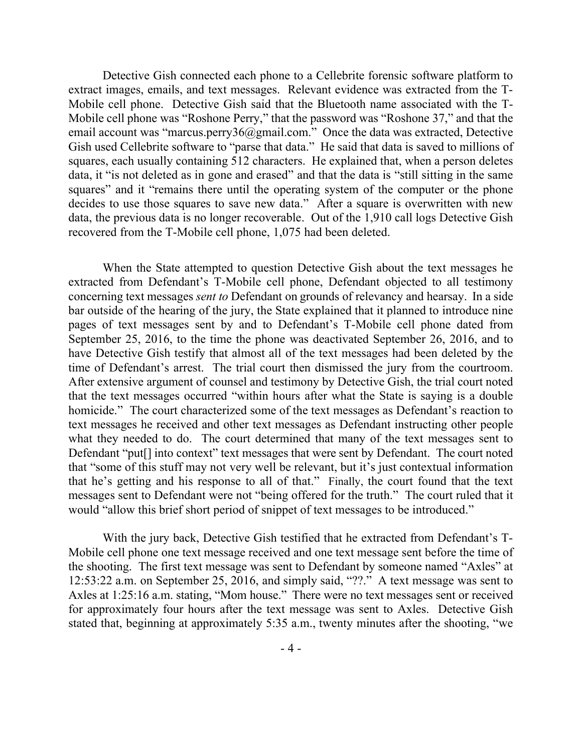Detective Gish connected each phone to a Cellebrite forensic software platform to extract images, emails, and text messages. Relevant evidence was extracted from the T-Mobile cell phone. Detective Gish said that the Bluetooth name associated with the T-Mobile cell phone was "Roshone Perry," that the password was "Roshone 37," and that the email account was "marcus.perry36@gmail.com." Once the data was extracted, Detective Gish used Cellebrite software to "parse that data." He said that data is saved to millions of squares, each usually containing 512 characters. He explained that, when a person deletes data, it "is not deleted as in gone and erased" and that the data is "still sitting in the same squares" and it "remains there until the operating system of the computer or the phone decides to use those squares to save new data." After a square is overwritten with new data, the previous data is no longer recoverable. Out of the 1,910 call logs Detective Gish recovered from the T-Mobile cell phone, 1,075 had been deleted.

When the State attempted to question Detective Gish about the text messages he extracted from Defendant's T-Mobile cell phone, Defendant objected to all testimony concerning text messages *sent to* Defendant on grounds of relevancy and hearsay. In a side bar outside of the hearing of the jury, the State explained that it planned to introduce nine pages of text messages sent by and to Defendant's T-Mobile cell phone dated from September 25, 2016, to the time the phone was deactivated September 26, 2016, and to have Detective Gish testify that almost all of the text messages had been deleted by the time of Defendant's arrest. The trial court then dismissed the jury from the courtroom. After extensive argument of counsel and testimony by Detective Gish, the trial court noted that the text messages occurred "within hours after what the State is saying is a double homicide." The court characterized some of the text messages as Defendant's reaction to text messages he received and other text messages as Defendant instructing other people what they needed to do. The court determined that many of the text messages sent to Defendant "put<sup>[]</sup> into context" text messages that were sent by Defendant. The court noted that "some of this stuff may not very well be relevant, but it's just contextual information that he's getting and his response to all of that." Finally, the court found that the text messages sent to Defendant were not "being offered for the truth." The court ruled that it would "allow this brief short period of snippet of text messages to be introduced."

With the jury back, Detective Gish testified that he extracted from Defendant's T-Mobile cell phone one text message received and one text message sent before the time of the shooting. The first text message was sent to Defendant by someone named "Axles" at 12:53:22 a.m. on September 25, 2016, and simply said, "??." A text message was sent to Axles at 1:25:16 a.m. stating, "Mom house." There were no text messages sent or received for approximately four hours after the text message was sent to Axles. Detective Gish stated that, beginning at approximately 5:35 a.m., twenty minutes after the shooting, "we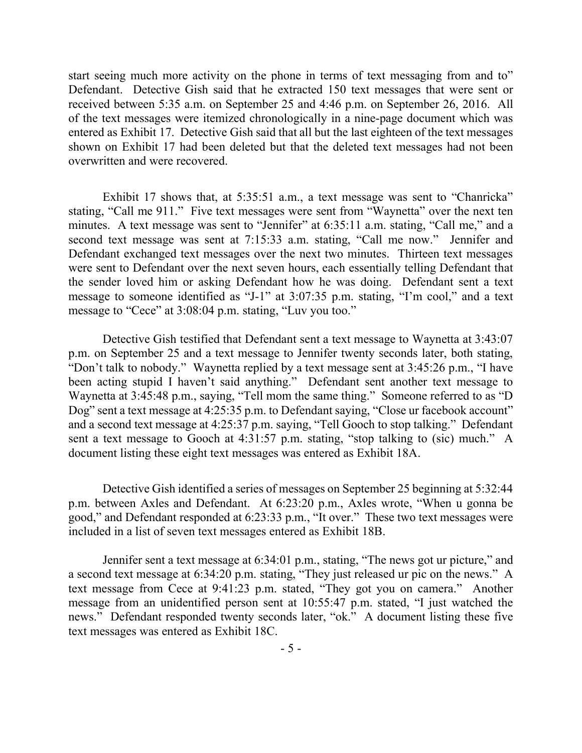start seeing much more activity on the phone in terms of text messaging from and to" Defendant. Detective Gish said that he extracted 150 text messages that were sent or received between 5:35 a.m. on September 25 and 4:46 p.m. on September 26, 2016. All of the text messages were itemized chronologically in a nine-page document which was entered as Exhibit 17. Detective Gish said that all but the last eighteen of the text messages shown on Exhibit 17 had been deleted but that the deleted text messages had not been overwritten and were recovered.

Exhibit 17 shows that, at 5:35:51 a.m., a text message was sent to "Chanricka" stating, "Call me 911." Five text messages were sent from "Waynetta" over the next ten minutes. A text message was sent to "Jennifer" at 6:35:11 a.m. stating, "Call me," and a second text message was sent at 7:15:33 a.m. stating, "Call me now." Jennifer and Defendant exchanged text messages over the next two minutes. Thirteen text messages were sent to Defendant over the next seven hours, each essentially telling Defendant that the sender loved him or asking Defendant how he was doing. Defendant sent a text message to someone identified as "J-1" at 3:07:35 p.m. stating, "I'm cool," and a text message to "Cece" at 3:08:04 p.m. stating, "Luv you too."

Detective Gish testified that Defendant sent a text message to Waynetta at 3:43:07 p.m. on September 25 and a text message to Jennifer twenty seconds later, both stating, "Don't talk to nobody." Waynetta replied by a text message sent at 3:45:26 p.m., "I have been acting stupid I haven't said anything." Defendant sent another text message to Waynetta at 3:45:48 p.m., saying, "Tell mom the same thing." Someone referred to as "D Dog" sent a text message at 4:25:35 p.m. to Defendant saying, "Close ur facebook account" and a second text message at 4:25:37 p.m. saying, "Tell Gooch to stop talking." Defendant sent a text message to Gooch at 4:31:57 p.m. stating, "stop talking to (sic) much." A document listing these eight text messages was entered as Exhibit 18A.

Detective Gish identified a series of messages on September 25 beginning at 5:32:44 p.m. between Axles and Defendant. At 6:23:20 p.m., Axles wrote, "When u gonna be good," and Defendant responded at 6:23:33 p.m., "It over." These two text messages were included in a list of seven text messages entered as Exhibit 18B.

Jennifer sent a text message at 6:34:01 p.m., stating, "The news got ur picture," and a second text message at 6:34:20 p.m. stating, "They just released ur pic on the news." A text message from Cece at 9:41:23 p.m. stated, "They got you on camera." Another message from an unidentified person sent at 10:55:47 p.m. stated, "I just watched the news." Defendant responded twenty seconds later, "ok." A document listing these five text messages was entered as Exhibit 18C.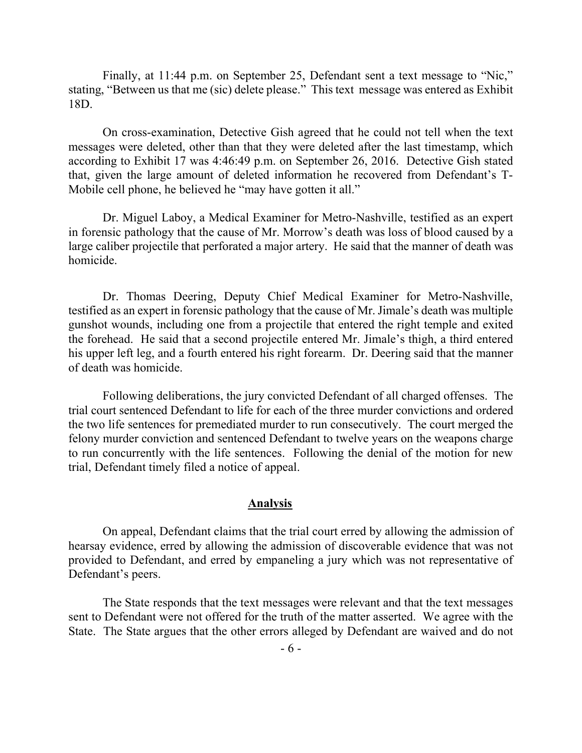Finally, at 11:44 p.m. on September 25, Defendant sent a text message to "Nic," stating, "Between us that me (sic) delete please." This text message was entered as Exhibit 18D.

On cross-examination, Detective Gish agreed that he could not tell when the text messages were deleted, other than that they were deleted after the last timestamp, which according to Exhibit 17 was 4:46:49 p.m. on September 26, 2016. Detective Gish stated that, given the large amount of deleted information he recovered from Defendant's T-Mobile cell phone, he believed he "may have gotten it all."

Dr. Miguel Laboy, a Medical Examiner for Metro-Nashville, testified as an expert in forensic pathology that the cause of Mr. Morrow's death was loss of blood caused by a large caliber projectile that perforated a major artery. He said that the manner of death was homicide.

Dr. Thomas Deering, Deputy Chief Medical Examiner for Metro-Nashville, testified as an expert in forensic pathology that the cause of Mr. Jimale's death was multiple gunshot wounds, including one from a projectile that entered the right temple and exited the forehead. He said that a second projectile entered Mr. Jimale's thigh, a third entered his upper left leg, and a fourth entered his right forearm. Dr. Deering said that the manner of death was homicide.

Following deliberations, the jury convicted Defendant of all charged offenses. The trial court sentenced Defendant to life for each of the three murder convictions and ordered the two life sentences for premediated murder to run consecutively. The court merged the felony murder conviction and sentenced Defendant to twelve years on the weapons charge to run concurrently with the life sentences. Following the denial of the motion for new trial, Defendant timely filed a notice of appeal.

#### **Analysis**

On appeal, Defendant claims that the trial court erred by allowing the admission of hearsay evidence, erred by allowing the admission of discoverable evidence that was not provided to Defendant, and erred by empaneling a jury which was not representative of Defendant's peers.

The State responds that the text messages were relevant and that the text messages sent to Defendant were not offered for the truth of the matter asserted. We agree with the State. The State argues that the other errors alleged by Defendant are waived and do not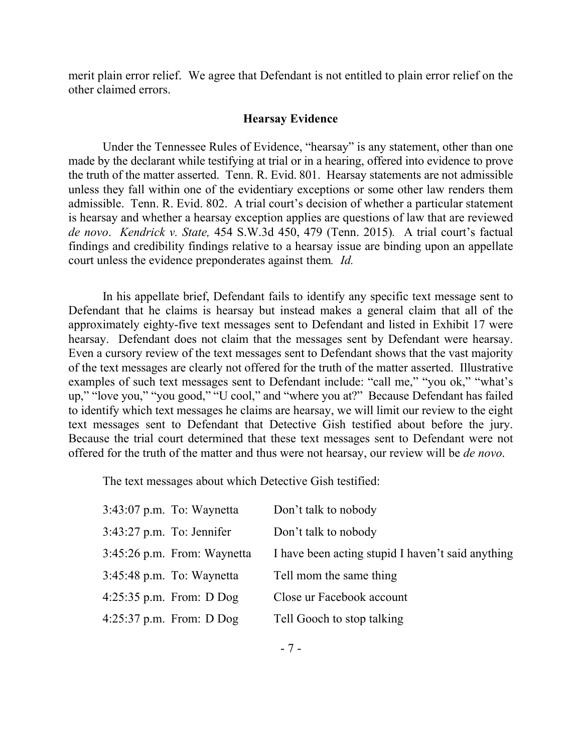merit plain error relief. We agree that Defendant is not entitled to plain error relief on the other claimed errors.

#### **Hearsay Evidence**

Under the Tennessee Rules of Evidence, "hearsay" is any statement, other than one made by the declarant while testifying at trial or in a hearing, offered into evidence to prove the truth of the matter asserted. Tenn. R. Evid. 801. Hearsay statements are not admissible unless they fall within one of the evidentiary exceptions or some other law renders them admissible. Tenn. R. Evid. 802. A trial court's decision of whether a particular statement is hearsay and whether a hearsay exception applies are questions of law that are reviewed *de novo*. *Kendrick v. State,* 454 S.W.3d 450, 479 (Tenn. 2015)*.* A trial court's factual findings and credibility findings relative to a hearsay issue are binding upon an appellate court unless the evidence preponderates against them*. Id.*

In his appellate brief, Defendant fails to identify any specific text message sent to Defendant that he claims is hearsay but instead makes a general claim that all of the approximately eighty-five text messages sent to Defendant and listed in Exhibit 17 were hearsay. Defendant does not claim that the messages sent by Defendant were hearsay. Even a cursory review of the text messages sent to Defendant shows that the vast majority of the text messages are clearly not offered for the truth of the matter asserted. Illustrative examples of such text messages sent to Defendant include: "call me," "you ok," "what's up," "love you," "you good," "U cool," and "where you at?" Because Defendant has failed to identify which text messages he claims are hearsay, we will limit our review to the eight text messages sent to Defendant that Detective Gish testified about before the jury. Because the trial court determined that these text messages sent to Defendant were not offered for the truth of the matter and thus were not hearsay, our review will be *de novo*.

The text messages about which Detective Gish testified:

|                             | $3:43:07$ p.m. To: Waynetta | Don't talk to nobody                              |
|-----------------------------|-----------------------------|---------------------------------------------------|
| $3:43:27$ p.m. To: Jennifer |                             | Don't talk to nobody                              |
|                             | 3:45:26 p.m. From: Waynetta | I have been acting stupid I haven't said anything |
|                             | $3:45:48$ p.m. To: Waynetta | Tell mom the same thing                           |
|                             | $4:25:35$ p.m. From: D Dog  | Close ur Facebook account                         |
|                             | $4:25:37$ p.m. From: D Dog  | Tell Gooch to stop talking                        |
|                             |                             |                                                   |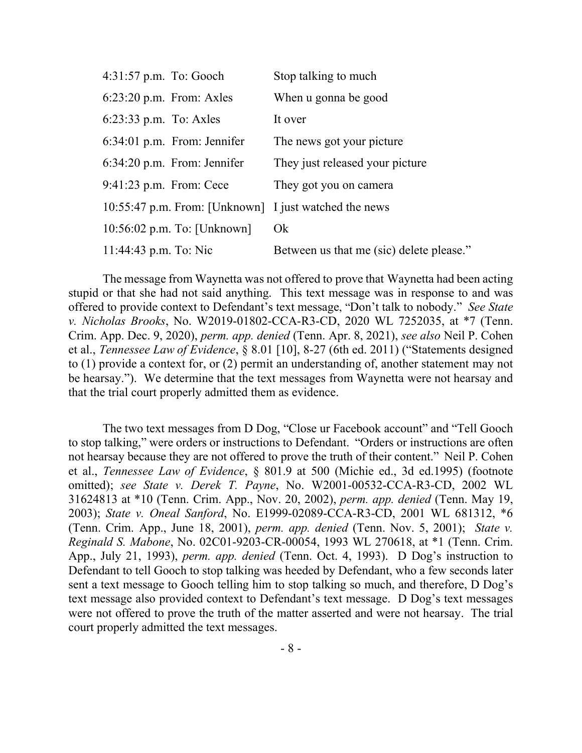| $4:31:57$ p.m. To: Gooch                              | Stop talking to much                     |
|-------------------------------------------------------|------------------------------------------|
| $6:23:20$ p.m. From: Axles                            | When u gonna be good                     |
| $6:23:33$ p.m. To: Axles                              | It over                                  |
| $6:34:01$ p.m. From: Jennifer                         | The news got your picture                |
| $6:34:20$ p.m. From: Jennifer                         | They just released your picture          |
| $9:41:23$ p.m. From: Cece                             | They got you on camera                   |
| 10:55:47 p.m. From: [Unknown] I just watched the news |                                          |
| 10:56:02 p.m. To: [Unknown]                           | Ok                                       |
| 11:44:43 p.m. To: Nic                                 | Between us that me (sic) delete please." |

The message from Waynetta was not offered to prove that Waynetta had been acting stupid or that she had not said anything. This text message was in response to and was offered to provide context to Defendant's text message, "Don't talk to nobody." *See State v. Nicholas Brooks*, No. W2019-01802-CCA-R3-CD, 2020 WL 7252035, at \*7 (Tenn. Crim. App. Dec. 9, 2020), *perm. app. denied* (Tenn. Apr. 8, 2021), *see also* Neil P. Cohen et al., *Tennessee Law of Evidence*, § 8.01 [10], 8-27 (6th ed. 2011) ("Statements designed to (1) provide a context for, or (2) permit an understanding of, another statement may not be hearsay."). We determine that the text messages from Waynetta were not hearsay and that the trial court properly admitted them as evidence.

The two text messages from D Dog, "Close ur Facebook account" and "Tell Gooch to stop talking," were orders or instructions to Defendant. "Orders or instructions are often not hearsay because they are not offered to prove the truth of their content." Neil P. Cohen et al., *Tennessee Law of Evidence*, § 801.9 at 500 (Michie ed., 3d ed.1995) (footnote omitted); *see State v. Derek T. Payne*, No. W2001-00532-CCA-R3-CD, 2002 WL 31624813 at \*10 (Tenn. Crim. App., Nov. 20, 2002), *perm. app. denied* (Tenn. May 19, 2003); *State v. Oneal Sanford*, No. E1999-02089-CCA-R3-CD, 2001 WL 681312, \*6 (Tenn. Crim. App., June 18, 2001), *perm. app. denied* (Tenn. Nov. 5, 2001); *State v. Reginald S. Mabone*, No. 02C01-9203-CR-00054, 1993 WL 270618, at \*1 (Tenn. Crim. App., July 21, 1993), *perm. app. denied* (Tenn. Oct. 4, 1993). D Dog's instruction to Defendant to tell Gooch to stop talking was heeded by Defendant, who a few seconds later sent a text message to Gooch telling him to stop talking so much, and therefore, D Dog's text message also provided context to Defendant's text message. D Dog's text messages were not offered to prove the truth of the matter asserted and were not hearsay. The trial court properly admitted the text messages.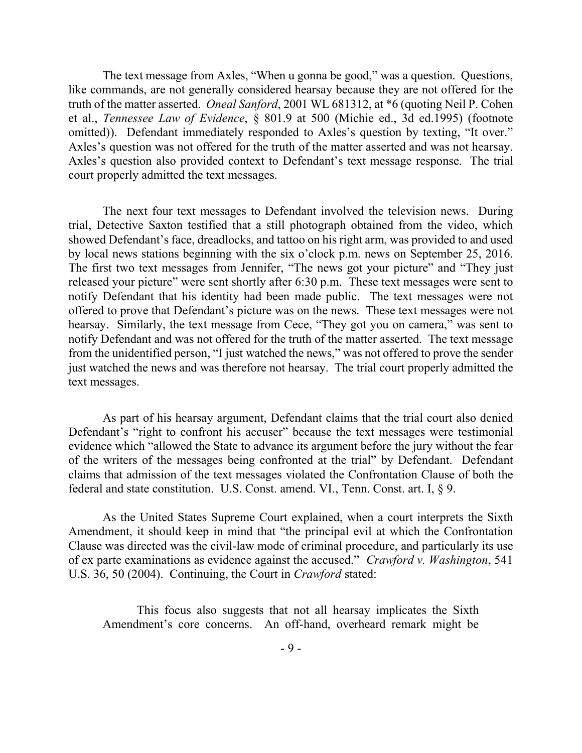The text message from Axles, "When u gonna be good," was a question. Questions, like commands, are not generally considered hearsay because they are not offered for the truth of the matter asserted. *Oneal Sanford*, 2001 WL 681312, at \*6 (quoting Neil P. Cohen et al., *Tennessee Law of Evidence*, § 801.9 at 500 (Michie ed., 3d ed.1995) (footnote omitted)). Defendant immediately responded to Axles's question by texting, "It over." Axles's question was not offered for the truth of the matter asserted and was not hearsay. Axles's question also provided context to Defendant's text message response. The trial court properly admitted the text messages.

The next four text messages to Defendant involved the television news. During trial, Detective Saxton testified that a still photograph obtained from the video, which showed Defendant's face, dreadlocks, and tattoo on his right arm, was provided to and used by local news stations beginning with the six o'clock p.m. news on September 25, 2016. The first two text messages from Jennifer, "The news got your picture" and "They just released your picture" were sent shortly after 6:30 p.m. These text messages were sent to notify Defendant that his identity had been made public. The text messages were not offered to prove that Defendant's picture was on the news. These text messages were not hearsay. Similarly, the text message from Cece, "They got you on camera," was sent to notify Defendant and was not offered for the truth of the matter asserted. The text message from the unidentified person, "I just watched the news," was not offered to prove the sender just watched the news and was therefore not hearsay. The trial court properly admitted the text messages.

As part of his hearsay argument, Defendant claims that the trial court also denied Defendant's "right to confront his accuser" because the text messages were testimonial evidence which "allowed the State to advance its argument before the jury without the fear of the writers of the messages being confronted at the trial" by Defendant. Defendant claims that admission of the text messages violated the Confrontation Clause of both the federal and state constitution. U.S. Const. amend. VI., Tenn. Const. art. I, § 9.

As the United States Supreme Court explained, when a court interprets the Sixth Amendment, it should keep in mind that "the principal evil at which the Confrontation Clause was directed was the civil-law mode of criminal procedure, and particularly its use of ex parte examinations as evidence against the accused." *Crawford v. Washington*, 541 U.S. 36, 50 (2004). Continuing, the Court in *Crawford* stated:

This focus also suggests that not all hearsay implicates the Sixth Amendment's core concerns. An off-hand, overheard remark might be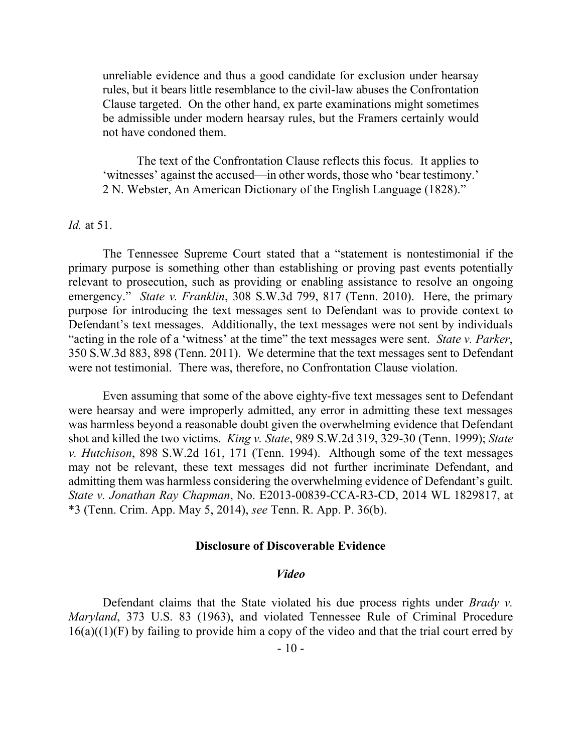unreliable evidence and thus a good candidate for exclusion under hearsay rules, but it bears little resemblance to the civil-law abuses the Confrontation Clause targeted. On the other hand, ex parte examinations might sometimes be admissible under modern hearsay rules, but the Framers certainly would not have condoned them.

The text of the Confrontation Clause reflects this focus. It applies to 'witnesses' against the accused—in other words, those who 'bear testimony.' 2 N. Webster, An American Dictionary of the English Language (1828)."

*Id.* at 51.

The Tennessee Supreme Court stated that a "statement is nontestimonial if the primary purpose is something other than establishing or proving past events potentially relevant to prosecution, such as providing or enabling assistance to resolve an ongoing emergency." *State v. Franklin*, 308 S.W.3d 799, 817 (Tenn. 2010). Here, the primary purpose for introducing the text messages sent to Defendant was to provide context to Defendant's text messages. Additionally, the text messages were not sent by individuals "acting in the role of a 'witness' at the time" the text messages were sent. *State v. Parker*, 350 S.W.3d 883, 898 (Tenn. 2011). We determine that the text messages sent to Defendant were not testimonial. There was, therefore, no Confrontation Clause violation.

Even assuming that some of the above eighty-five text messages sent to Defendant were hearsay and were improperly admitted, any error in admitting these text messages was harmless beyond a reasonable doubt given the overwhelming evidence that Defendant shot and killed the two victims. *King v. State*, 989 S.W.2d 319, 329-30 (Tenn. 1999); *State v. Hutchison*, 898 S.W.2d 161, 171 (Tenn. 1994). Although some of the text messages may not be relevant, these text messages did not further incriminate Defendant, and admitting them was harmless considering the overwhelming evidence of Defendant's guilt. *State v. Jonathan Ray Chapman*, No. E2013-00839-CCA-R3-CD, 2014 WL 1829817, at \*3 (Tenn. Crim. App. May 5, 2014), *see* Tenn. R. App. P. 36(b).

## **Disclosure of Discoverable Evidence**

#### *Video*

Defendant claims that the State violated his due process rights under *Brady v. Maryland*, 373 U.S. 83 (1963), and violated Tennessee Rule of Criminal Procedure  $16(a)((1)(F)$  by failing to provide him a copy of the video and that the trial court erred by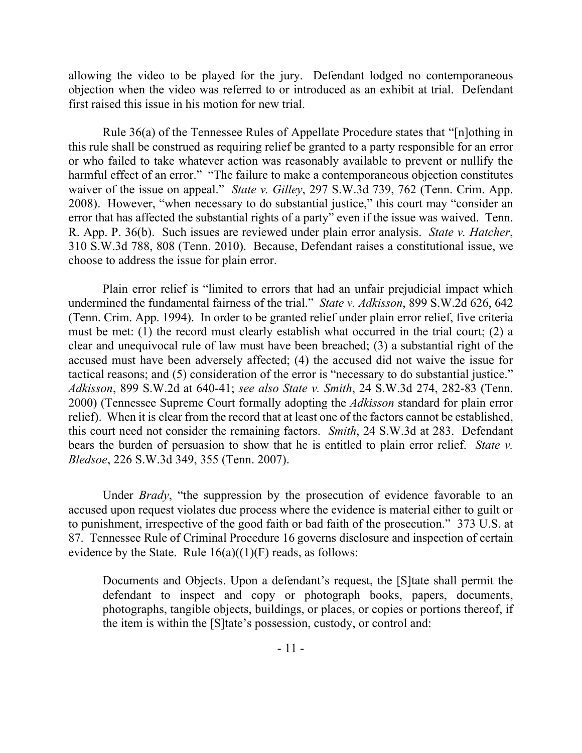allowing the video to be played for the jury. Defendant lodged no contemporaneous objection when the video was referred to or introduced as an exhibit at trial. Defendant first raised this issue in his motion for new trial.

Rule 36(a) of the Tennessee Rules of Appellate Procedure states that "[n]othing in this rule shall be construed as requiring relief be granted to a party responsible for an error or who failed to take whatever action was reasonably available to prevent or nullify the harmful effect of an error." "The failure to make a contemporaneous objection constitutes waiver of the issue on appeal." *State v. Gilley*, 297 S.W.3d 739, 762 (Tenn. Crim. App. 2008). However, "when necessary to do substantial justice," this court may "consider an error that has affected the substantial rights of a party" even if the issue was waived. Tenn. R. App. P. 36(b). Such issues are reviewed under plain error analysis. *State v. Hatcher*, 310 S.W.3d 788, 808 (Tenn. 2010). Because, Defendant raises a constitutional issue, we choose to address the issue for plain error.

Plain error relief is "limited to errors that had an unfair prejudicial impact which undermined the fundamental fairness of the trial." *State v. Adkisson*, 899 S.W.2d 626, 642 (Tenn. Crim. App. 1994). In order to be granted relief under plain error relief, five criteria must be met: (1) the record must clearly establish what occurred in the trial court; (2) a clear and unequivocal rule of law must have been breached; (3) a substantial right of the accused must have been adversely affected; (4) the accused did not waive the issue for tactical reasons; and (5) consideration of the error is "necessary to do substantial justice." *Adkisson*, 899 S.W.2d at 640-41; *see also State v. Smith*, 24 S.W.3d 274, 282-83 (Tenn. 2000) (Tennessee Supreme Court formally adopting the *Adkisson* standard for plain error relief). When it is clear from the record that at least one of the factors cannot be established, this court need not consider the remaining factors. *Smith*, 24 S.W.3d at 283. Defendant bears the burden of persuasion to show that he is entitled to plain error relief. *State v. Bledsoe*, 226 S.W.3d 349, 355 (Tenn. 2007).

Under *Brady*, "the suppression by the prosecution of evidence favorable to an accused upon request violates due process where the evidence is material either to guilt or to punishment, irrespective of the good faith or bad faith of the prosecution." 373 U.S. at 87. Tennessee Rule of Criminal Procedure 16 governs disclosure and inspection of certain evidence by the State. Rule  $16(a)((1)(F)$  reads, as follows:

Documents and Objects. Upon a defendant's request, the [S]tate shall permit the defendant to inspect and copy or photograph books, papers, documents, photographs, tangible objects, buildings, or places, or copies or portions thereof, if the item is within the [S]tate's possession, custody, or control and: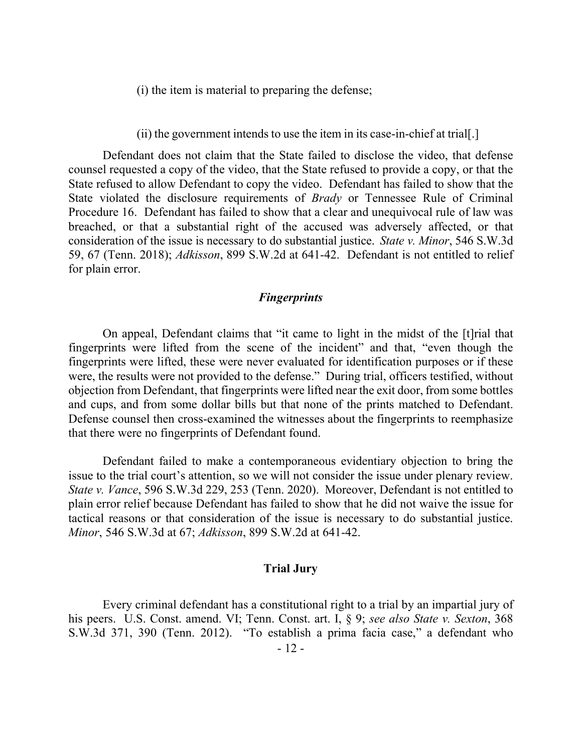(i) the item is material to preparing the defense;

(ii) the government intends to use the item in its case-in-chief at trial[.]

Defendant does not claim that the State failed to disclose the video, that defense counsel requested a copy of the video, that the State refused to provide a copy, or that the State refused to allow Defendant to copy the video. Defendant has failed to show that the State violated the disclosure requirements of *Brady* or Tennessee Rule of Criminal Procedure 16. Defendant has failed to show that a clear and unequivocal rule of law was breached, or that a substantial right of the accused was adversely affected, or that consideration of the issue is necessary to do substantial justice. *State v. Minor*, 546 S.W.3d 59, 67 (Tenn. 2018); *Adkisson*, 899 S.W.2d at 641-42. Defendant is not entitled to relief for plain error.

## *Fingerprints*

On appeal, Defendant claims that "it came to light in the midst of the [t]rial that fingerprints were lifted from the scene of the incident" and that, "even though the fingerprints were lifted, these were never evaluated for identification purposes or if these were, the results were not provided to the defense." During trial, officers testified, without objection from Defendant, that fingerprints were lifted near the exit door, from some bottles and cups, and from some dollar bills but that none of the prints matched to Defendant. Defense counsel then cross-examined the witnesses about the fingerprints to reemphasize that there were no fingerprints of Defendant found.

Defendant failed to make a contemporaneous evidentiary objection to bring the issue to the trial court's attention, so we will not consider the issue under plenary review. *State v. Vance*, 596 S.W.3d 229, 253 (Tenn. 2020). Moreover, Defendant is not entitled to plain error relief because Defendant has failed to show that he did not waive the issue for tactical reasons or that consideration of the issue is necessary to do substantial justice. *Minor*, 546 S.W.3d at 67; *Adkisson*, 899 S.W.2d at 641-42.

#### **Trial Jury**

Every criminal defendant has a constitutional right to a trial by an impartial jury of his peers. U.S. Const. amend. VI; Tenn. Const. art. I, § 9; *see also State v. Sexton*, 368 S.W.3d 371, 390 (Tenn. 2012). "To establish a prima facia case," a defendant who